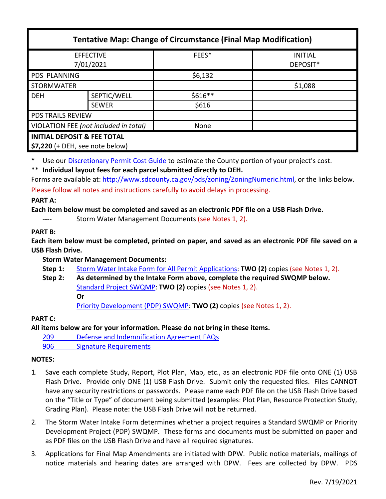| <b>Tentative Map: Change of Circumstance (Final Map Modification)</b> |              |           |                            |
|-----------------------------------------------------------------------|--------------|-----------|----------------------------|
| <b>EFFECTIVE</b><br>7/01/2021                                         |              | FEES*     | <b>INITIAL</b><br>DEPOSIT* |
| <b>PDS PLANNING</b>                                                   |              | \$6,132   |                            |
| <b>STORMWATER</b>                                                     |              |           | \$1,088                    |
| <b>DEH</b>                                                            | SEPTIC/WELL  | $$616**$$ |                            |
|                                                                       | <b>SEWER</b> | \$616     |                            |
| <b>PDS TRAILS REVIEW</b>                                              |              |           |                            |
| VIOLATION FEE (not included in total)                                 |              | None      |                            |
| <b>INITIAL DEPOSIT &amp; FEE TOTAL</b>                                |              |           |                            |
| \$7,220 (+ DEH, see note below)                                       |              |           |                            |

\* Use our [Discretionary Permit Cost Guide](http://www.sandiegocounty.gov/content/dam/sdc/pds/docs/Discretionary_Permit_Cost_Guide.xlsx) to estimate the County portion of your project's cost.

**\*\* Individual layout fees for each parcel submitted directly to DEH.**

Forms are available at[: http://www.sdcounty.ca.gov/pds/zoning/ZoningNumeric.html,](http://www.sdcounty.ca.gov/pds/zoning/ZoningNumeric.html) or the links below. Please follow all notes and instructions carefully to avoid delays in processing.

### **PART A:**

**Each item below must be completed and saved as an electronic PDF file on a USB Flash Drive.**

Storm Water Management Documents (see Notes 1, 2).

# **PART B:**

**Each item below must be completed, printed on paper, and saved as an electronic PDF file saved on a USB Flash Drive.**

# **Storm Water Management Documents:**

- **Step 1:** [Storm Water Intake Form for All Permit Applications:](http://www.sandiegocounty.gov/content/dam/sdc/pds/zoning/formfields/SWQMP-Intake-Form.pdf) **TWO (2)** copies (see Notes 1, 2).
- **Step 2: As determined by the Intake Form above, complete the required SWQMP below.** [Standard Project SWQMP:](http://www.sandiegocounty.gov/content/dam/sdc/pds/zoning/formfields/SWQMP-Standard.pdf) **TWO (2)** copies (see Notes 1, 2). **Or** [Priority Development \(PDP\) SWQMP:](https://www.sandiegocounty.gov/content/sdc/dpw/watersheds/DevelopmentandConstruction/BMP_Design_Manual.html) **TWO (2)** copies (see Notes 1, 2).

# **PART C:**

# **All items below are for your information. Please do not bring in these items.**

- 209 [Defense and Indemnification Agreement FAQs](http://www.sdcounty.ca.gov/pds/zoning/formfields/PDS-PLN-209.pdf)
- [906 Signature Requirements](http://www.sdcounty.ca.gov/pds/zoning/formfields/PDS-PLN-906.pdf)

# **NOTES:**

- 1. Save each complete Study, Report, Plot Plan, Map, etc., as an electronic PDF file onto ONE (1) USB Flash Drive. Provide only ONE (1) USB Flash Drive. Submit only the requested files. Files CANNOT have any security restrictions or passwords. Please name each PDF file on the USB Flash Drive based on the "Title or Type" of document being submitted (examples: Plot Plan, Resource Protection Study, Grading Plan). Please note: the USB Flash Drive will not be returned.
- 2. The Storm Water Intake Form determines whether a project requires a Standard SWQMP or Priority Development Project (PDP) SWQMP. These forms and documents must be submitted on paper and as PDF files on the USB Flash Drive and have all required signatures.
- 3. Applications for Final Map Amendments are initiated with DPW. Public notice materials, mailings of notice materials and hearing dates are arranged with DPW. Fees are collected by DPW. PDS